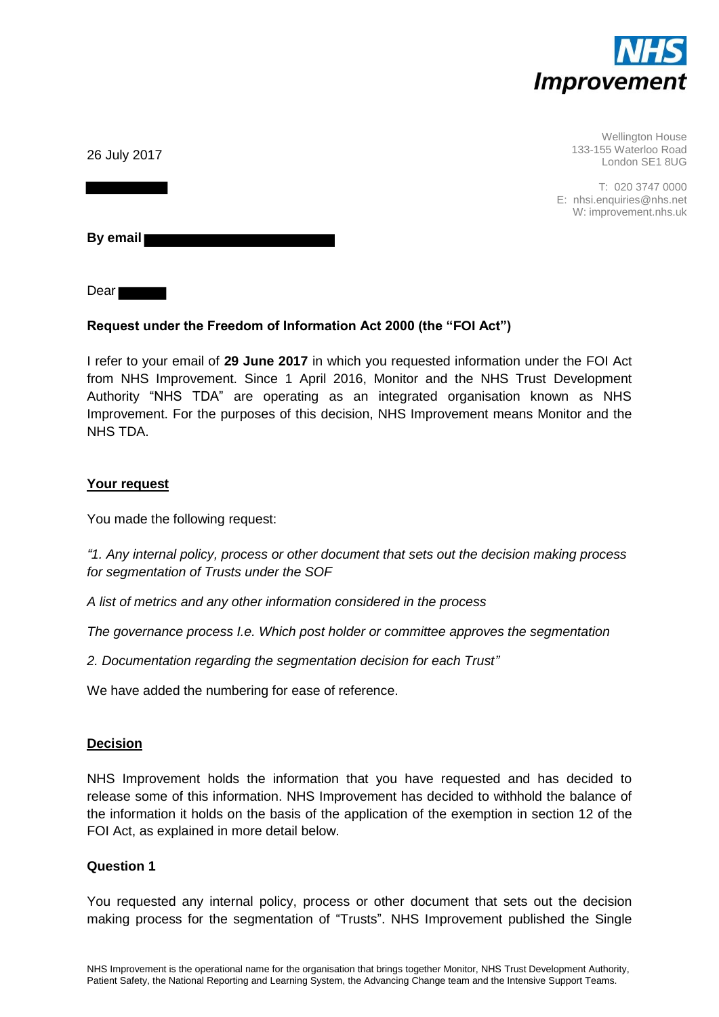

Wellington House 133-155 Waterloo Road London SE1 8UG

T: 020 3747 0000 E: nhsi.enquiries@nhs.net W: improvement.nhs.uk

26 July 2017

**By email** 

Dear

### **Request under the Freedom of Information Act 2000 (the "FOI Act")**

I refer to your email of **29 June 2017** in which you requested information under the FOI Act from NHS Improvement. Since 1 April 2016, Monitor and the NHS Trust Development Authority "NHS TDA" are operating as an integrated organisation known as NHS Improvement. For the purposes of this decision, NHS Improvement means Monitor and the NHS TDA.

#### **Your request**

You made the following request:

*"1. Any internal policy, process or other document that sets out the decision making process for segmentation of Trusts under the SOF* 

*A list of metrics and any other information considered in the process* 

*The governance process I.e. Which post holder or committee approves the segmentation* 

*2. Documentation regarding the segmentation decision for each Trust"* 

We have added the numbering for ease of reference.

#### **Decision**

NHS Improvement holds the information that you have requested and has decided to release some of this information. NHS Improvement has decided to withhold the balance of the information it holds on the basis of the application of the exemption in section 12 of the FOI Act, as explained in more detail below.

#### **Question 1**

You requested any internal policy, process or other document that sets out the decision making process for the segmentation of "Trusts". NHS Improvement published the Single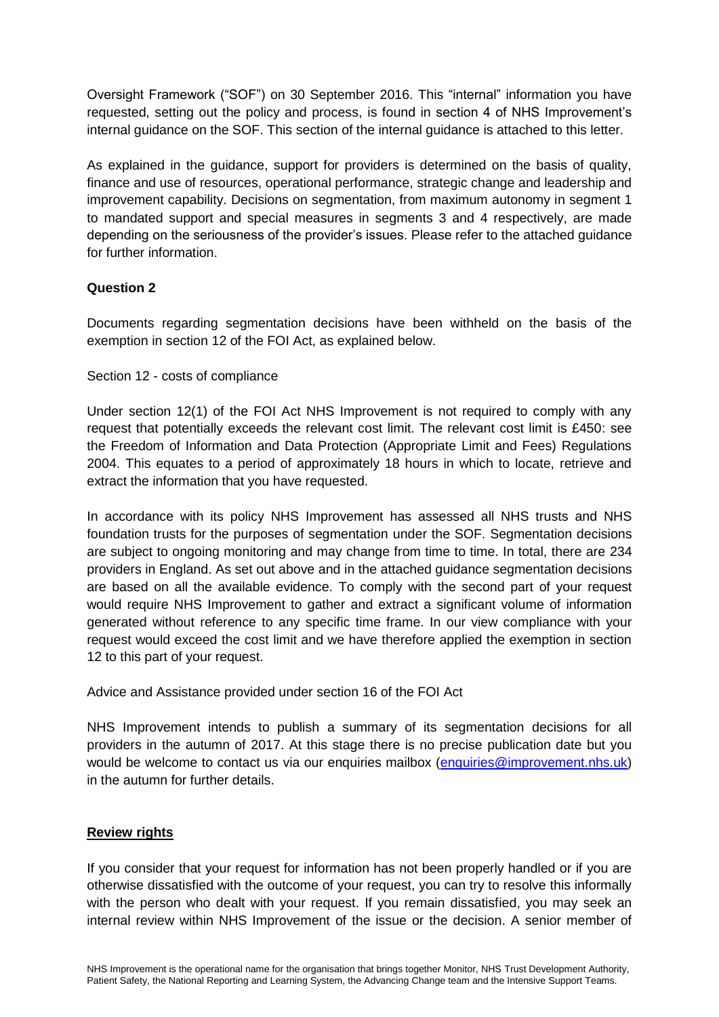Oversight Framework ("SOF") on 30 September 2016. This "internal" information you have requested, setting out the policy and process, is found in section 4 of NHS Improvement's internal guidance on the SOF. This section of the internal guidance is attached to this letter.

As explained in the guidance, support for providers is determined on the basis of quality, finance and use of resources, operational performance, strategic change and leadership and improvement capability. Decisions on segmentation, from maximum autonomy in segment 1 to mandated support and special measures in segments 3 and 4 respectively, are made depending on the seriousness of the provider's issues. Please refer to the attached guidance for further information.

### **Question 2**

Documents regarding segmentation decisions have been withheld on the basis of the exemption in section 12 of the FOI Act, as explained below.

Section 12 - costs of compliance

Under section 12(1) of the FOI Act NHS Improvement is not required to comply with any request that potentially exceeds the relevant cost limit. The relevant cost limit is £450: see the Freedom of Information and Data Protection (Appropriate Limit and Fees) Regulations 2004. This equates to a period of approximately 18 hours in which to locate, retrieve and extract the information that you have requested.

In accordance with its policy NHS Improvement has assessed all NHS trusts and NHS foundation trusts for the purposes of segmentation under the SOF. Segmentation decisions are subject to ongoing monitoring and may change from time to time. In total, there are 234 providers in England. As set out above and in the attached guidance segmentation decisions are based on all the available evidence. To comply with the second part of your request would require NHS Improvement to gather and extract a significant volume of information generated without reference to any specific time frame. In our view compliance with your request would exceed the cost limit and we have therefore applied the exemption in section 12 to this part of your request.

Advice and Assistance provided under section 16 of the FOI Act

NHS Improvement intends to publish a summary of its segmentation decisions for all providers in the autumn of 2017. At this stage there is no precise publication date but you would be welcome to contact us via our enquiries mailbox [\(enquiries@improvement.nhs.uk\)](mailto:enquiries@improvement.nhs.uk) in the autumn for further details.

#### **Review rights**

If you consider that your request for information has not been properly handled or if you are otherwise dissatisfied with the outcome of your request, you can try to resolve this informally with the person who dealt with your request. If you remain dissatisfied, you may seek an internal review within NHS Improvement of the issue or the decision. A senior member of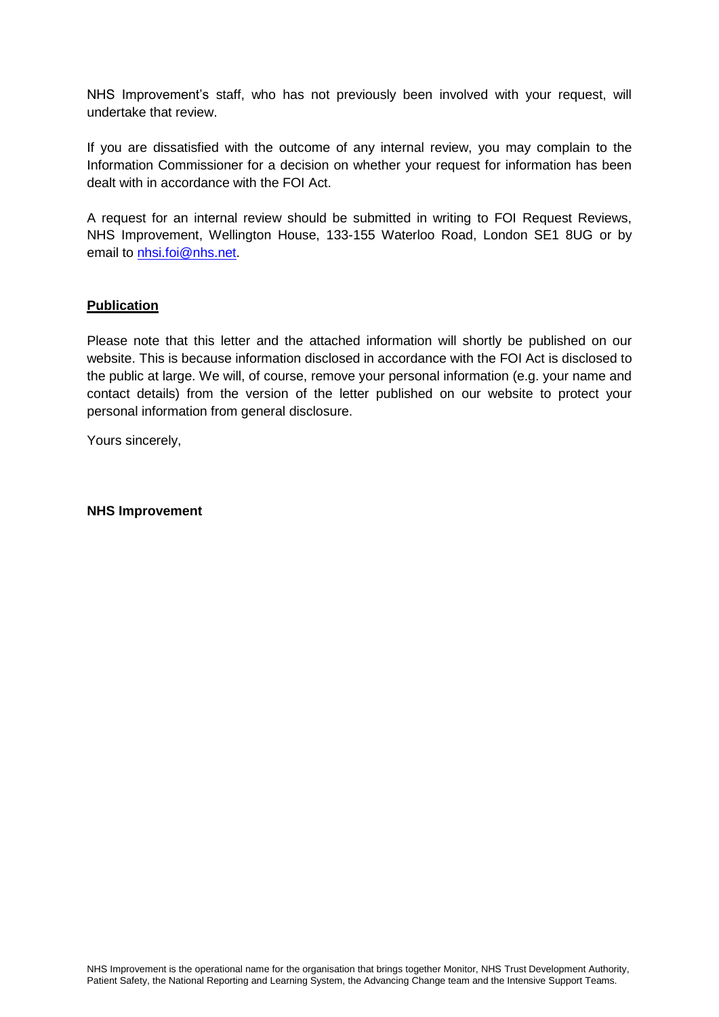NHS Improvement's staff, who has not previously been involved with your request, will undertake that review.

If you are dissatisfied with the outcome of any internal review, you may complain to the Information Commissioner for a decision on whether your request for information has been dealt with in accordance with the FOI Act.

A request for an internal review should be submitted in writing to FOI Request Reviews, NHS Improvement, Wellington House, 133-155 Waterloo Road, London SE1 8UG or by email to nhsi.foi@nhs.net

### **Publication**

Please note that this letter and the attached information will shortly be published on our website. This is because information disclosed in accordance with the FOI Act is disclosed to the public at large. We will, of course, remove your personal information (e.g. your name and contact details) from the version of the letter published on our website to protect your personal information from general disclosure.

Yours sincerely,

#### **NHS Improvement**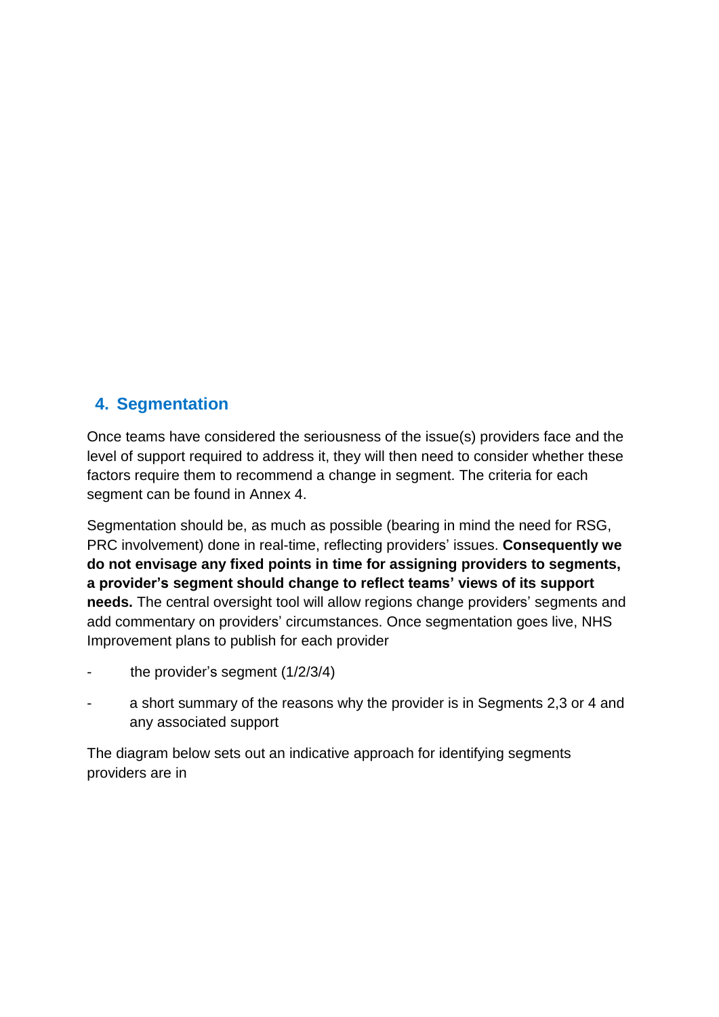# **4. Segmentation**

Once teams have considered the seriousness of the issue(s) providers face and the level of support required to address it, they will then need to consider whether these factors require them to recommend a change in segment. The criteria for each segment can be found in Annex 4.

Segmentation should be, as much as possible (bearing in mind the need for RSG, PRC involvement) done in real-time, reflecting providers' issues. **Consequently we do not envisage any fixed points in time for assigning providers to segments, a provider's segment should change to reflect teams' views of its support needs.** The central oversight tool will allow regions change providers' segments and add commentary on providers' circumstances. Once segmentation goes live, NHS Improvement plans to publish for each provider

- the provider's segment  $(1/2/3/4)$
- a short summary of the reasons why the provider is in Segments 2,3 or 4 and any associated support

The diagram below sets out an indicative approach for identifying segments providers are in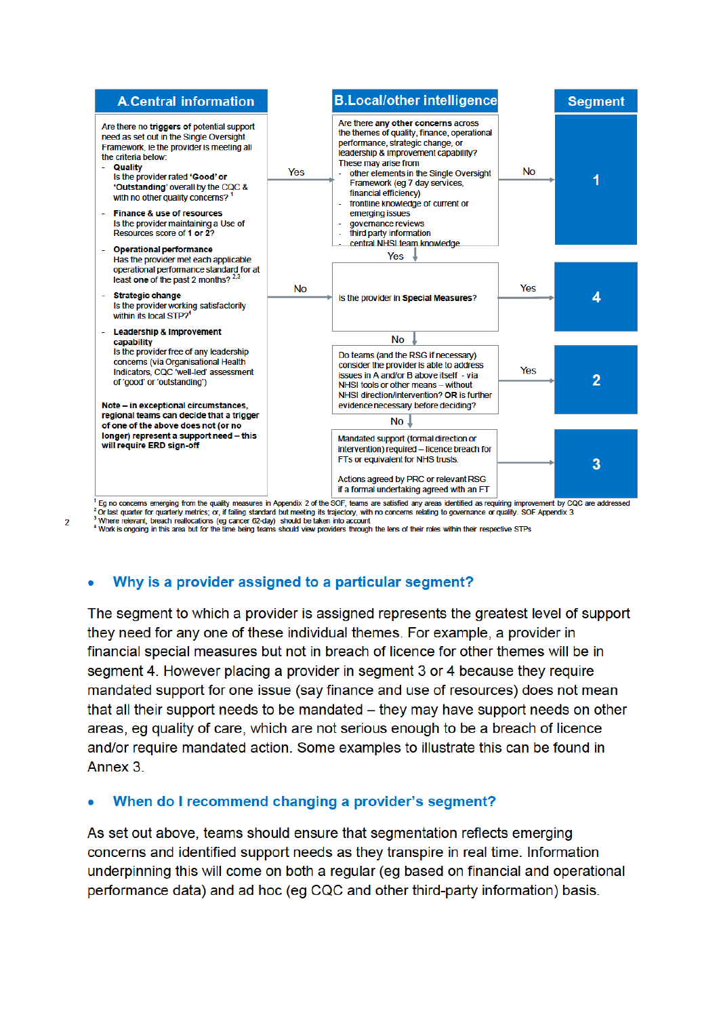

Eq no concerns emerging from the quality measures in Appendix 2 of the SOF, teams are satisfied any areas identified as requiring improvement by CQC are addressed 2 Or last quarter for quarterly metrics; or, if failing standard but meeting its trajectory, with no concerns relating to governance or quality. SOF Appendix 3 Where relevant breach reallocations (eq cancer 62-day) should be taken into account

4 Work is orgaing in this area but for the time being teams should view providers through the lens of their roles within their respective STPs

#### Why is a provider assigned to a particular segment?

 $\mathcal{L}$ 

The segment to which a provider is assigned represents the greatest level of support they need for any one of these individual themes. For example, a provider in financial special measures but not in breach of licence for other themes will be in segment 4. However placing a provider in segment 3 or 4 because they require mandated support for one issue (say finance and use of resources) does not mean that all their support needs to be mandated – they may have support needs on other areas, eg quality of care, which are not serious enough to be a breach of licence and/or require mandated action. Some examples to illustrate this can be found in Annex 3.

#### When do I recommend changing a provider's segment?

As set out above, teams should ensure that segmentation reflects emerging concerns and identified support needs as they transpire in real time. Information underpinning this will come on both a regular (eg based on financial and operational performance data) and ad hoc (eg CQC and other third-party information) basis.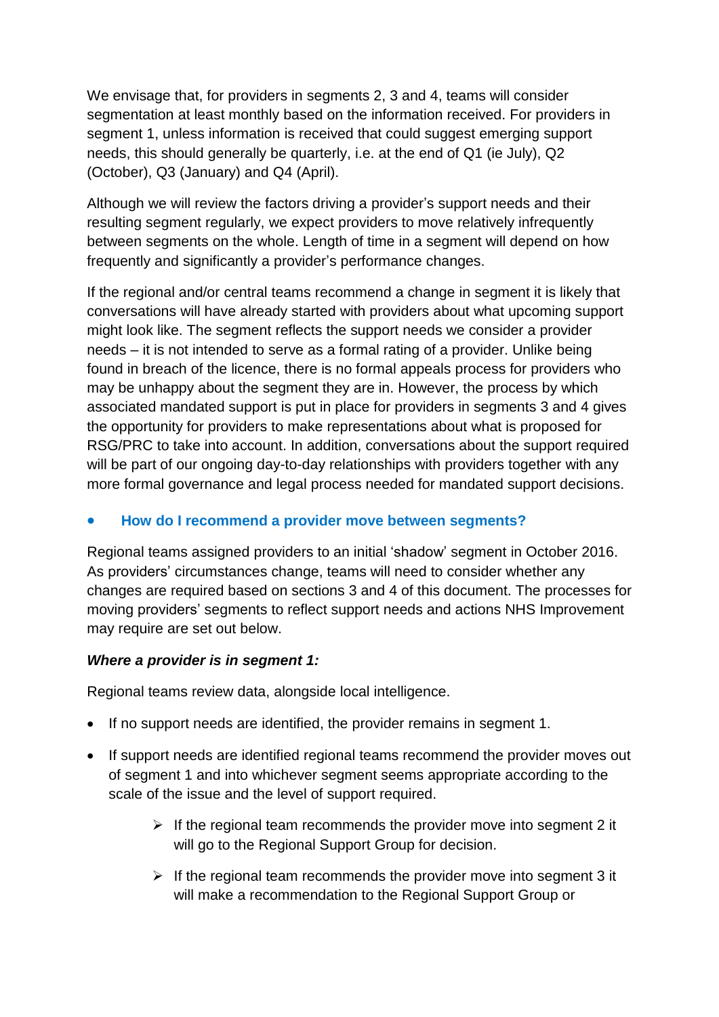We envisage that, for providers in segments 2, 3 and 4, teams will consider segmentation at least monthly based on the information received. For providers in segment 1, unless information is received that could suggest emerging support needs, this should generally be quarterly, i.e. at the end of Q1 (ie July), Q2 (October), Q3 (January) and Q4 (April).

Although we will review the factors driving a provider's support needs and their resulting segment regularly, we expect providers to move relatively infrequently between segments on the whole. Length of time in a segment will depend on how frequently and significantly a provider's performance changes.

If the regional and/or central teams recommend a change in segment it is likely that conversations will have already started with providers about what upcoming support might look like. The segment reflects the support needs we consider a provider needs – it is not intended to serve as a formal rating of a provider. Unlike being found in breach of the licence, there is no formal appeals process for providers who may be unhappy about the segment they are in. However, the process by which associated mandated support is put in place for providers in segments 3 and 4 gives the opportunity for providers to make representations about what is proposed for RSG/PRC to take into account. In addition, conversations about the support required will be part of our ongoing day-to-day relationships with providers together with any more formal governance and legal process needed for mandated support decisions.

### **How do I recommend a provider move between segments?**

Regional teams assigned providers to an initial 'shadow' segment in October 2016. As providers' circumstances change, teams will need to consider whether any changes are required based on sections 3 and 4 of this document. The processes for moving providers' segments to reflect support needs and actions NHS Improvement may require are set out below.

### *Where a provider is in segment 1:*

Regional teams review data, alongside local intelligence.

- If no support needs are identified, the provider remains in segment 1.
- If support needs are identified regional teams recommend the provider moves out of segment 1 and into whichever segment seems appropriate according to the scale of the issue and the level of support required.
	- $\triangleright$  If the regional team recommends the provider move into segment 2 it will go to the Regional Support Group for decision.
	- $\triangleright$  If the regional team recommends the provider move into segment 3 it will make a recommendation to the Regional Support Group or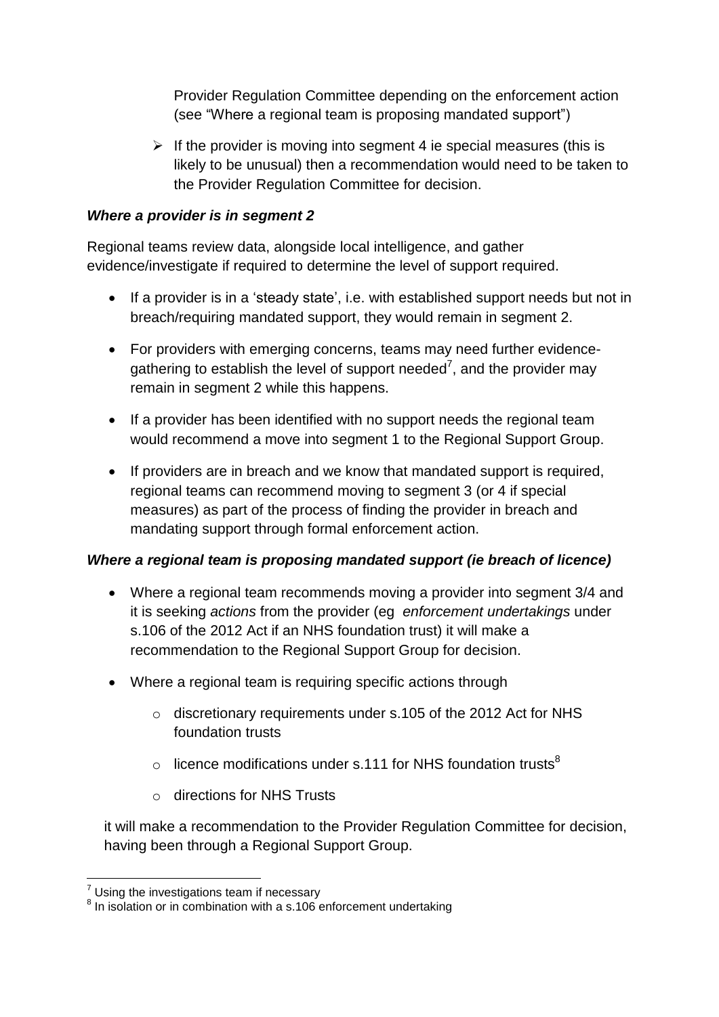Provider Regulation Committee depending on the enforcement action (see "Where a regional team is proposing mandated support")

 $\triangleright$  If the provider is moving into segment 4 ie special measures (this is likely to be unusual) then a recommendation would need to be taken to the Provider Regulation Committee for decision.

### *Where a provider is in segment 2*

Regional teams review data, alongside local intelligence, and gather evidence/investigate if required to determine the level of support required.

- If a provider is in a 'steady state', i.e. with established support needs but not in breach/requiring mandated support, they would remain in segment 2.
- For providers with emerging concerns, teams may need further evidencegathering to establish the level of support needed<sup>7</sup>, and the provider may remain in segment 2 while this happens.
- If a provider has been identified with no support needs the regional team would recommend a move into segment 1 to the Regional Support Group.
- If providers are in breach and we know that mandated support is required, regional teams can recommend moving to segment 3 (or 4 if special measures) as part of the process of finding the provider in breach and mandating support through formal enforcement action.

### *Where a regional team is proposing mandated support (ie breach of licence)*

- Where a regional team recommends moving a provider into segment 3/4 and it is seeking *actions* from the provider (eg *enforcement undertakings* under s.106 of the 2012 Act if an NHS foundation trust) it will make a recommendation to the Regional Support Group for decision.
- Where a regional team is requiring specific actions through
	- o discretionary requirements under s.105 of the 2012 Act for NHS foundation trusts
	- $\circ$  licence modifications under s.111 for NHS foundation trusts<sup>8</sup>
	- o directions for NHS Trusts

it will make a recommendation to the Provider Regulation Committee for decision, having been through a Regional Support Group.

<u>.</u>

 $<sup>7</sup>$  Using the investigations team if necessary</sup>

 $8$  In isolation or in combination with a s.106 enforcement undertaking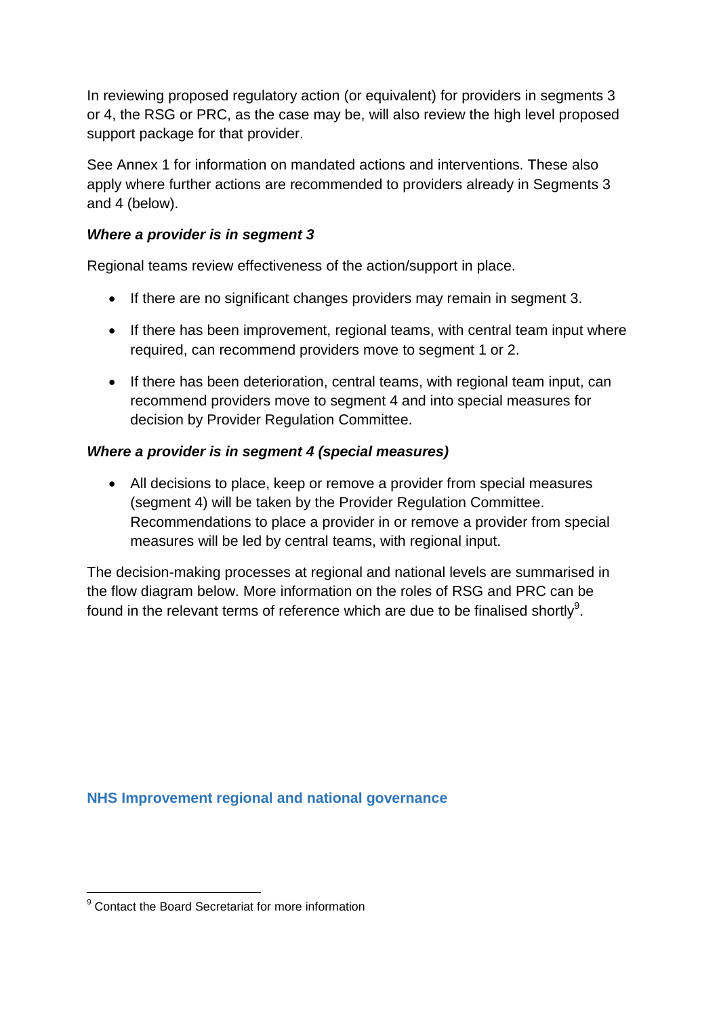In reviewing proposed regulatory action (or equivalent) for providers in segments 3 or 4, the RSG or PRC, as the case may be, will also review the high level proposed support package for that provider.

See Annex 1 for information on mandated actions and interventions. These also apply where further actions are recommended to providers already in Segments 3 and 4 (below).

## *Where a provider is in segment 3*

Regional teams review effectiveness of the action/support in place.

- If there are no significant changes providers may remain in segment 3.
- If there has been improvement, regional teams, with central team input where required, can recommend providers move to segment 1 or 2.
- If there has been deterioration, central teams, with regional team input, can recommend providers move to segment 4 and into special measures for decision by Provider Regulation Committee.

# *Where a provider is in segment 4 (special measures)*

 All decisions to place, keep or remove a provider from special measures (segment 4) will be taken by the Provider Regulation Committee. Recommendations to place a provider in or remove a provider from special measures will be led by central teams, with regional input.

The decision-making processes at regional and national levels are summarised in the flow diagram below. More information on the roles of RSG and PRC can be found in the relevant terms of reference which are due to be finalised shortly<sup>9</sup>.

**NHS Improvement regional and national governance**

<sup>1</sup> <sup>9</sup> Contact the Board Secretariat for more information